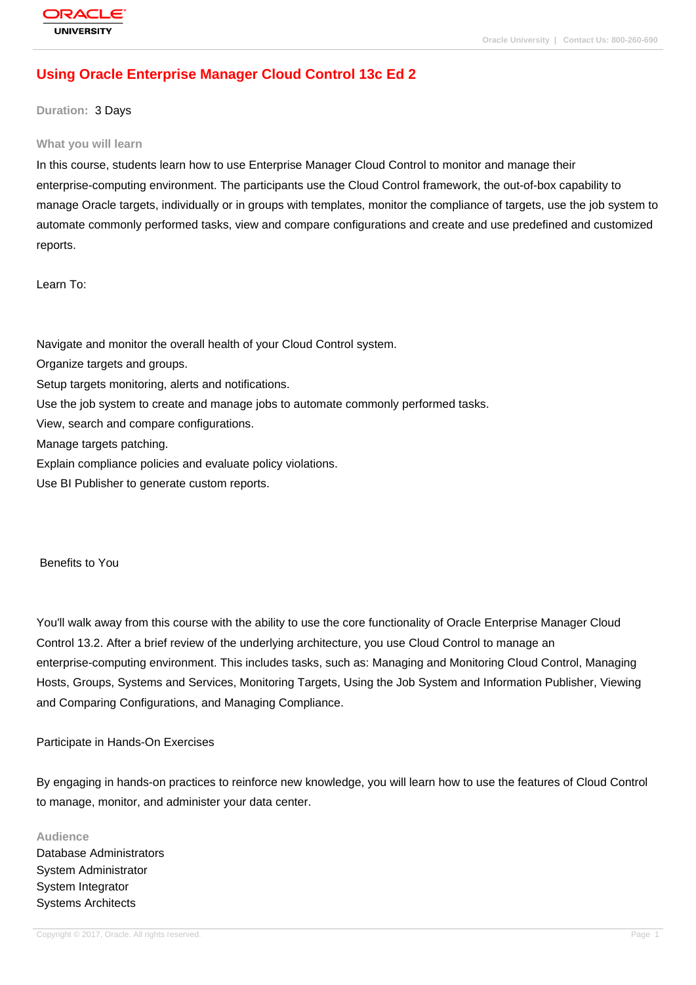# **[Using Oracle E](http://education.oracle.com/pls/web_prod-plq-dad/db_pages.getpage?page_id=3)nterprise Manager Cloud Control 13c Ed 2**

#### **Duration:** 3 Days

#### **What you will learn**

In this course, students learn how to use Enterprise Manager Cloud Control to monitor and manage their enterprise-computing environment. The participants use the Cloud Control framework, the out-of-box capability to manage Oracle targets, individually or in groups with templates, monitor the compliance of targets, use the job system to automate commonly performed tasks, view and compare configurations and create and use predefined and customized reports.

Learn To:

Navigate and monitor the overall health of your Cloud Control system.

Organize targets and groups.

Setup targets monitoring, alerts and notifications.

Use the job system to create and manage jobs to automate commonly performed tasks.

View, search and compare configurations.

Manage targets patching.

Explain compliance policies and evaluate policy violations.

Use BI Publisher to generate custom reports.

Benefits to You

You'll walk away from this course with the ability to use the core functionality of Oracle Enterprise Manager Cloud Control 13.2. After a brief review of the underlying architecture, you use Cloud Control to manage an enterprise-computing environment. This includes tasks, such as: Managing and Monitoring Cloud Control, Managing Hosts, Groups, Systems and Services, Monitoring Targets, Using the Job System and Information Publisher, Viewing and Comparing Configurations, and Managing Compliance.

#### Participate in Hands-On Exercises

By engaging in hands-on practices to reinforce new knowledge, you will learn how to use the features of Cloud Control to manage, monitor, and administer your data center.

#### **Audience**

Database Administrators System Administrator System Integrator Systems Architects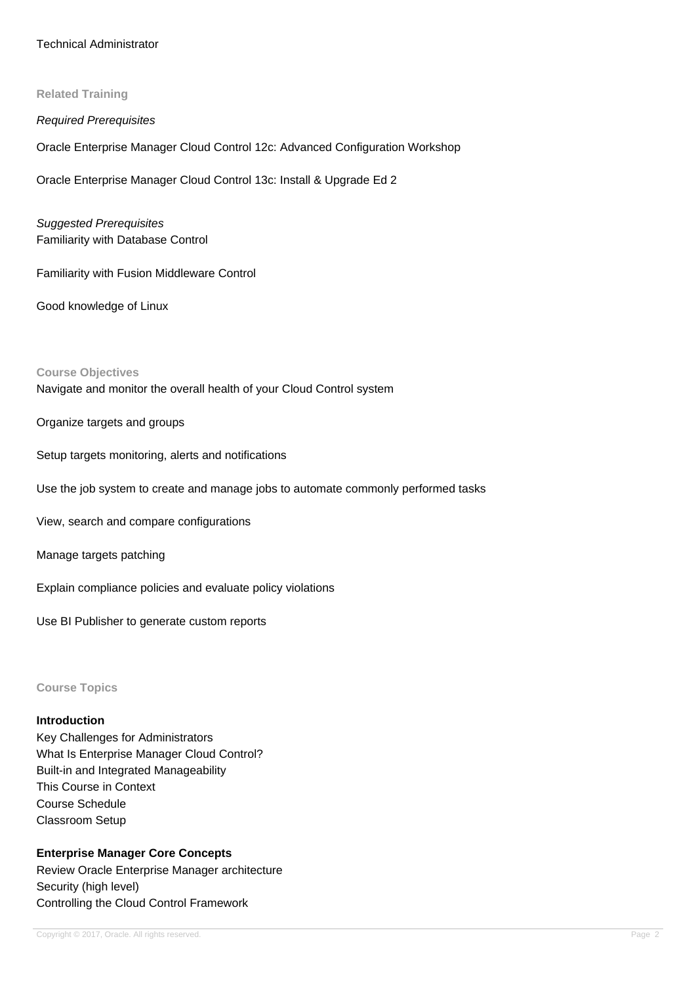### Technical Administrator

#### **Related Training**

#### Required Prerequisites

Oracle Enterprise Manager Cloud Control 12c: Advanced Configuration Workshop

Oracle Enterprise Manager Cloud Control 13c: Install & Upgrade Ed 2

Suggested Prerequisites Familiarity with Database Control

Familiarity with Fusion Middleware Control

Good knowledge of Linux

#### **Course Objectives**

Navigate and monitor the overall health of your Cloud Control system

Organize targets and groups

Setup targets monitoring, alerts and notifications

Use the job system to create and manage jobs to automate commonly performed tasks

View, search and compare configurations

Manage targets patching

Explain compliance policies and evaluate policy violations

Use BI Publisher to generate custom reports

**Course Topics**

### **Introduction**

Key Challenges for Administrators What Is Enterprise Manager Cloud Control? Built-in and Integrated Manageability This Course in Context Course Schedule Classroom Setup

**Enterprise Manager Core Concepts** Review Oracle Enterprise Manager architecture Security (high level) Controlling the Cloud Control Framework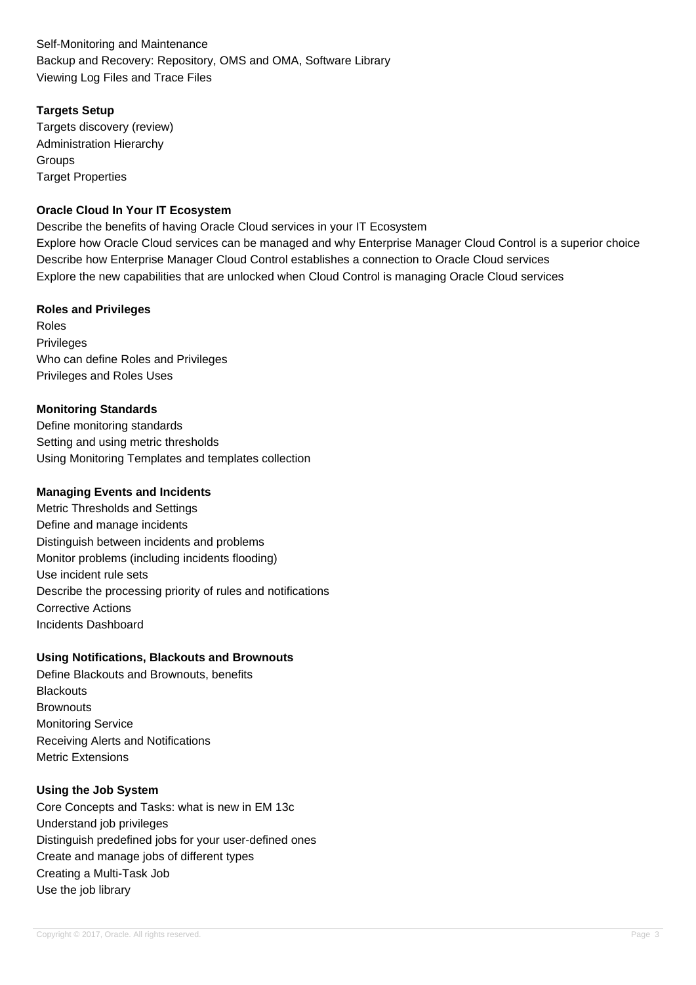Self-Monitoring and Maintenance Backup and Recovery: Repository, OMS and OMA, Software Library Viewing Log Files and Trace Files

## **Targets Setup**

Targets discovery (review) Administration Hierarchy **Groups Target Properties** 

## **Oracle Cloud In Your IT Ecosystem**

Describe the benefits of having Oracle Cloud services in your IT Ecosystem Explore how Oracle Cloud services can be managed and why Enterprise Manager Cloud Control is a superior choice Describe how Enterprise Manager Cloud Control establishes a connection to Oracle Cloud services Explore the new capabilities that are unlocked when Cloud Control is managing Oracle Cloud services

## **Roles and Privileges**

Roles **Privileges** Who can define Roles and Privileges Privileges and Roles Uses

## **Monitoring Standards**

Define monitoring standards Setting and using metric thresholds Using Monitoring Templates and templates collection

### **Managing Events and Incidents**

Metric Thresholds and Settings Define and manage incidents Distinguish between incidents and problems Monitor problems (including incidents flooding) Use incident rule sets Describe the processing priority of rules and notifications Corrective Actions Incidents Dashboard

## **Using Notifications, Blackouts and Brownouts**

Define Blackouts and Brownouts, benefits **Blackouts Brownouts** Monitoring Service Receiving Alerts and Notifications Metric Extensions

## **Using the Job System**

Core Concepts and Tasks: what is new in EM 13c Understand job privileges Distinguish predefined jobs for your user-defined ones Create and manage jobs of different types Creating a Multi-Task Job Use the job library